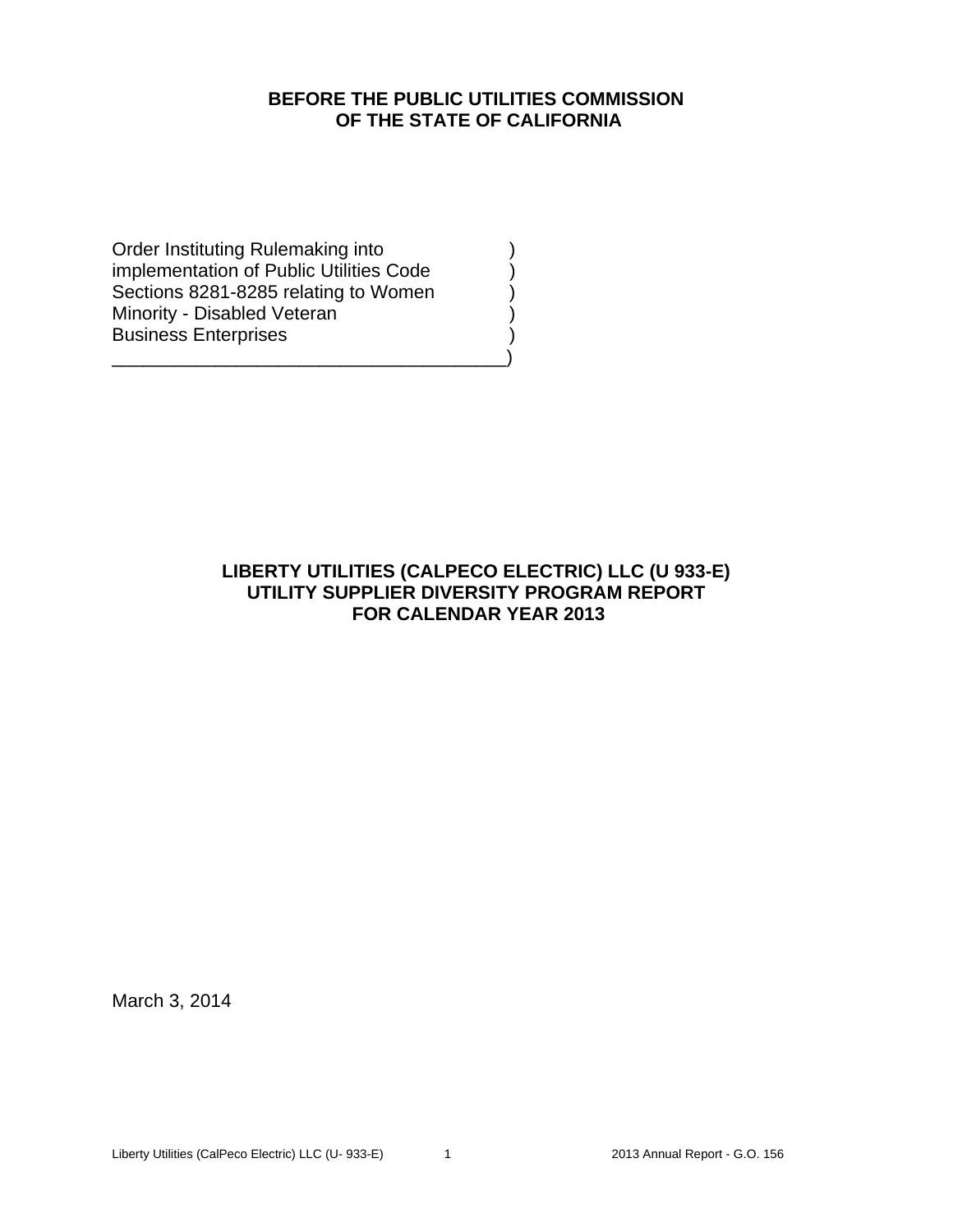# **BEFORE THE PUBLIC UTILITIES COMMISSION OF THE STATE OF CALIFORNIA**

Order Instituting Rulemaking into ) implementation of Public Utilities Code ) Sections 8281-8285 relating to Women Minority - Disabled Veteran (1999) Business Enterprises )

\_\_\_\_\_\_\_\_\_\_\_\_\_\_\_\_\_\_\_\_\_\_\_\_\_\_\_\_\_\_\_\_\_\_\_\_\_\_)

# **LIBERTY UTILITIES (CALPECO ELECTRIC) LLC (U 933-E) UTILITY SUPPLIER DIVERSITY PROGRAM REPORT FOR CALENDAR YEAR 2013**

March 3, 2014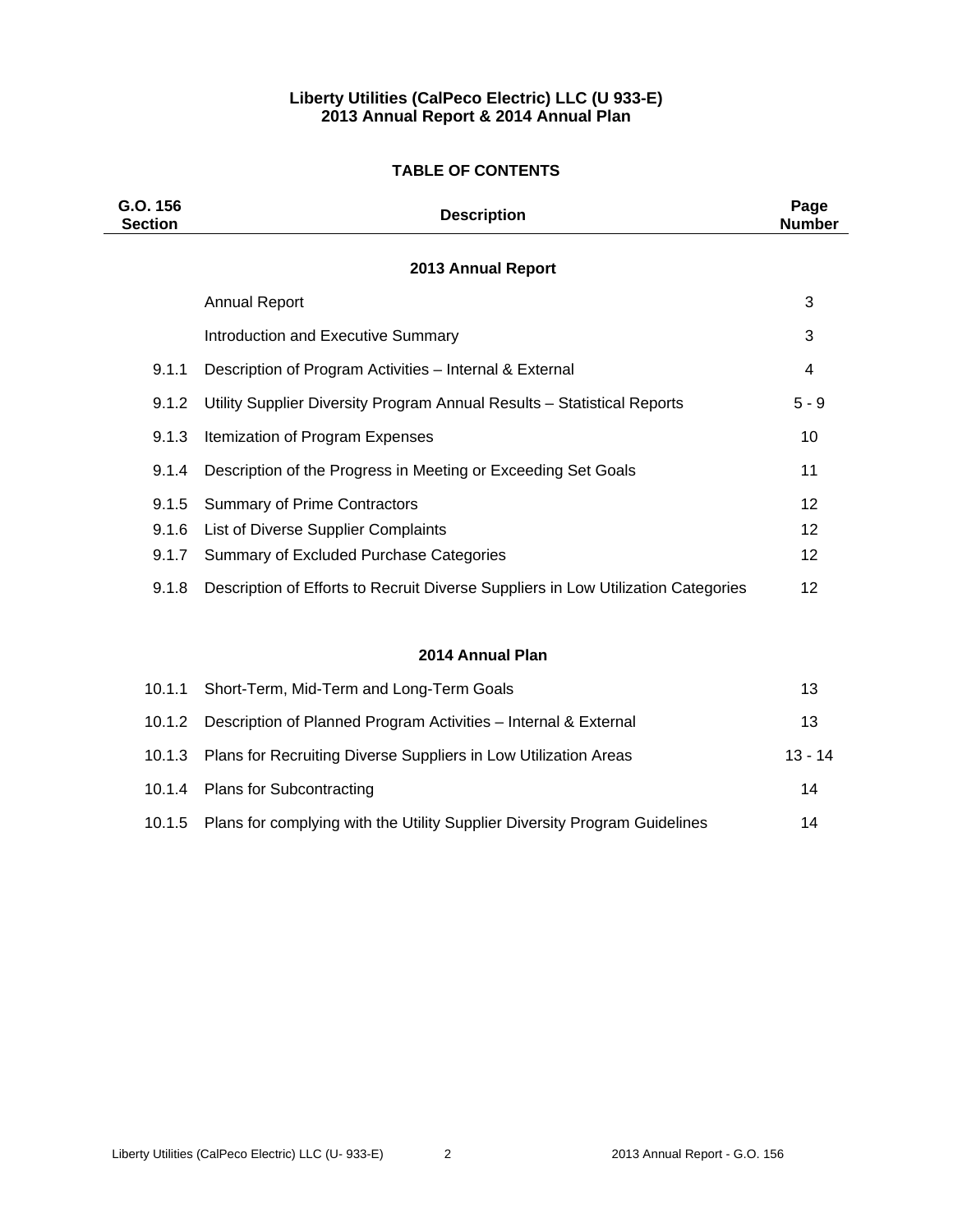# **Liberty Utilities (CalPeco Electric) LLC (U 933-E) 2013 Annual Report & 2014 Annual Plan**

# **TABLE OF CONTENTS**

| G.O. 156<br><b>Section</b> | <b>Description</b>                                                                | Page<br><b>Number</b> |
|----------------------------|-----------------------------------------------------------------------------------|-----------------------|
|                            | 2013 Annual Report                                                                |                       |
|                            | <b>Annual Report</b>                                                              | 3                     |
|                            | Introduction and Executive Summary                                                | 3                     |
| 9.1.1                      | Description of Program Activities - Internal & External                           | 4                     |
| 9.1.2                      | Utility Supplier Diversity Program Annual Results - Statistical Reports           | $5 - 9$               |
| 9.1.3                      | Itemization of Program Expenses                                                   | 10                    |
| 9.1.4                      | Description of the Progress in Meeting or Exceeding Set Goals                     | 11                    |
| 9.1.5                      | <b>Summary of Prime Contractors</b>                                               | 12                    |
| 9.1.6                      | List of Diverse Supplier Complaints                                               | $12 \overline{ }$     |
| 9.1.7                      | Summary of Excluded Purchase Categories                                           | 12                    |
| 9.1.8                      | Description of Efforts to Recruit Diverse Suppliers in Low Utilization Categories | 12                    |
|                            |                                                                                   |                       |
|                            | 2014 Annual Plan                                                                  |                       |
| 10.1.1                     | Short-Term, Mid-Term and Long-Term Goals                                          | 13                    |
| 10.1.2                     | Description of Planned Program Activities - Internal & External                   | 13                    |

10.1.4 Plans for Subcontracting 14 10.1.5 Plans for complying with the Utility Supplier Diversity Program Guidelines 14

10.1.3 Plans for Recruiting Diverse Suppliers in Low Utilization Areas 13 - 14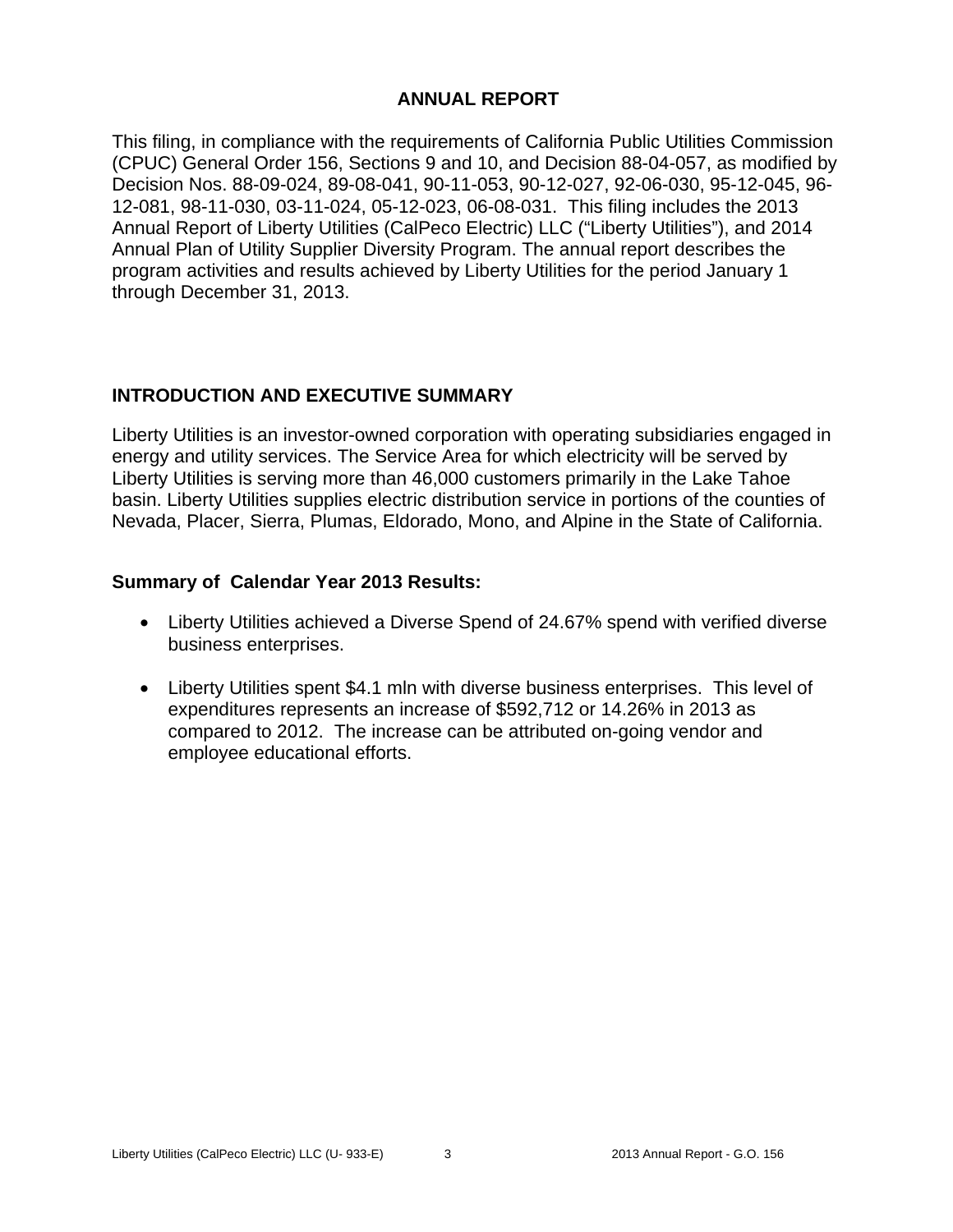# **ANNUAL REPORT**

This filing, in compliance with the requirements of California Public Utilities Commission (CPUC) General Order 156, Sections 9 and 10, and Decision 88-04-057, as modified by Decision Nos. 88-09-024, 89-08-041, 90-11-053, 90-12-027, 92-06-030, 95-12-045, 96- 12-081, 98-11-030, 03-11-024, 05-12-023, 06-08-031. This filing includes the 2013 Annual Report of Liberty Utilities (CalPeco Electric) LLC ("Liberty Utilities"), and 2014 Annual Plan of Utility Supplier Diversity Program. The annual report describes the program activities and results achieved by Liberty Utilities for the period January 1 through December 31, 2013.

# **INTRODUCTION AND EXECUTIVE SUMMARY**

Liberty Utilities is an investor-owned corporation with operating subsidiaries engaged in energy and utility services. The Service Area for which electricity will be served by Liberty Utilities is serving more than 46,000 customers primarily in the Lake Tahoe basin. Liberty Utilities supplies electric distribution service in portions of the counties of Nevada, Placer, Sierra, Plumas, Eldorado, Mono, and Alpine in the State of California.

# **Summary of Calendar Year 2013 Results:**

- Liberty Utilities achieved a Diverse Spend of 24.67% spend with verified diverse business enterprises.
- Liberty Utilities spent \$4.1 mln with diverse business enterprises. This level of expenditures represents an increase of \$592,712 or 14.26% in 2013 as compared to 2012. The increase can be attributed on-going vendor and employee educational efforts.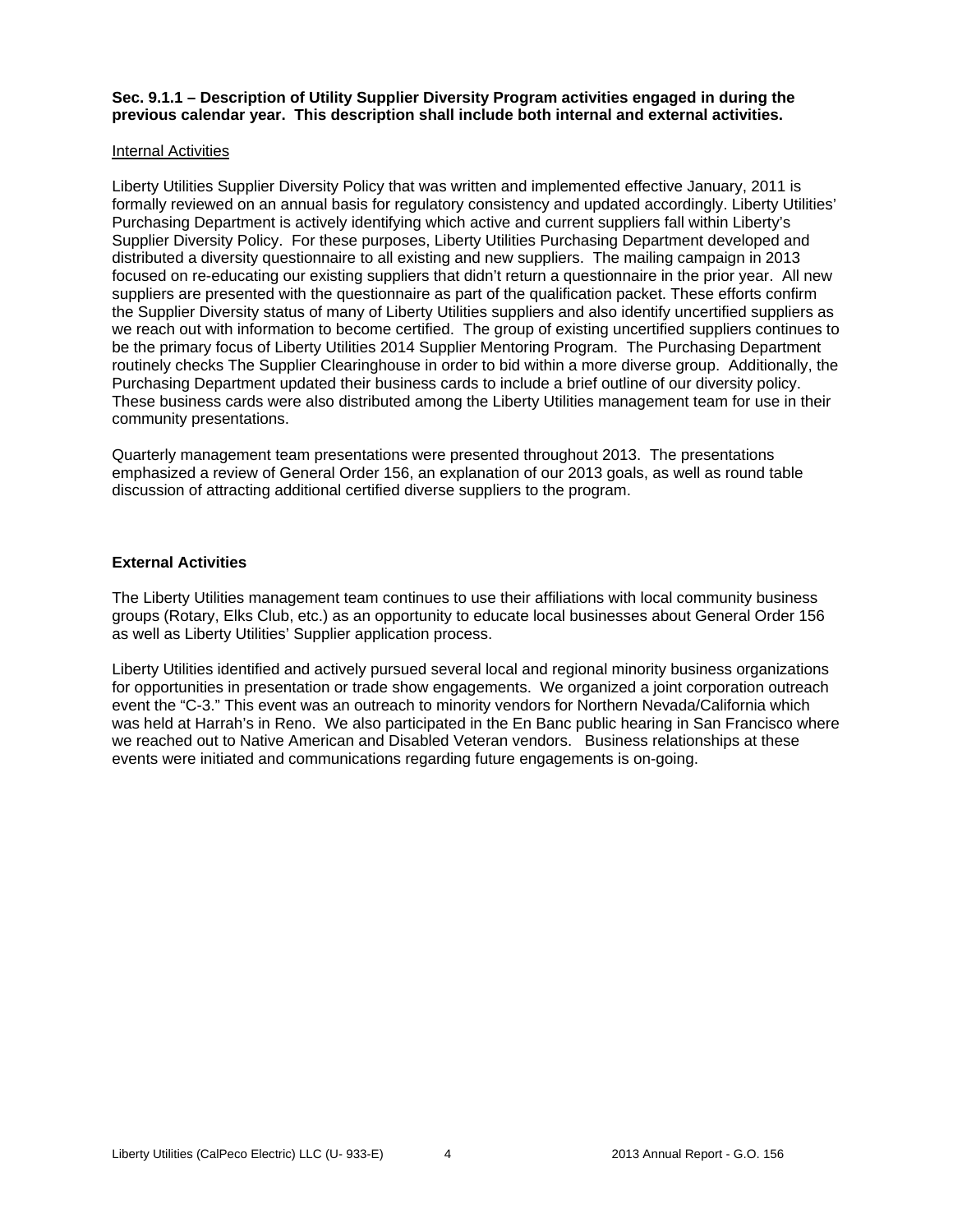**Sec. 9.1.1 – Description of Utility Supplier Diversity Program activities engaged in during the previous calendar year. This description shall include both internal and external activities.** 

### Internal Activities

Liberty Utilities Supplier Diversity Policy that was written and implemented effective January, 2011 is formally reviewed on an annual basis for regulatory consistency and updated accordingly. Liberty Utilities' Purchasing Department is actively identifying which active and current suppliers fall within Liberty's Supplier Diversity Policy. For these purposes, Liberty Utilities Purchasing Department developed and distributed a diversity questionnaire to all existing and new suppliers. The mailing campaign in 2013 focused on re-educating our existing suppliers that didn't return a questionnaire in the prior year. All new suppliers are presented with the questionnaire as part of the qualification packet. These efforts confirm the Supplier Diversity status of many of Liberty Utilities suppliers and also identify uncertified suppliers as we reach out with information to become certified. The group of existing uncertified suppliers continues to be the primary focus of Liberty Utilities 2014 Supplier Mentoring Program. The Purchasing Department routinely checks The Supplier Clearinghouse in order to bid within a more diverse group. Additionally, the Purchasing Department updated their business cards to include a brief outline of our diversity policy. These business cards were also distributed among the Liberty Utilities management team for use in their community presentations.

Quarterly management team presentations were presented throughout 2013. The presentations emphasized a review of General Order 156, an explanation of our 2013 goals, as well as round table discussion of attracting additional certified diverse suppliers to the program.

### **External Activities**

The Liberty Utilities management team continues to use their affiliations with local community business groups (Rotary, Elks Club, etc.) as an opportunity to educate local businesses about General Order 156 as well as Liberty Utilities' Supplier application process.

Liberty Utilities identified and actively pursued several local and regional minority business organizations for opportunities in presentation or trade show engagements. We organized a joint corporation outreach event the "C-3." This event was an outreach to minority vendors for Northern Nevada/California which was held at Harrah's in Reno. We also participated in the En Banc public hearing in San Francisco where we reached out to Native American and Disabled Veteran vendors. Business relationships at these events were initiated and communications regarding future engagements is on-going.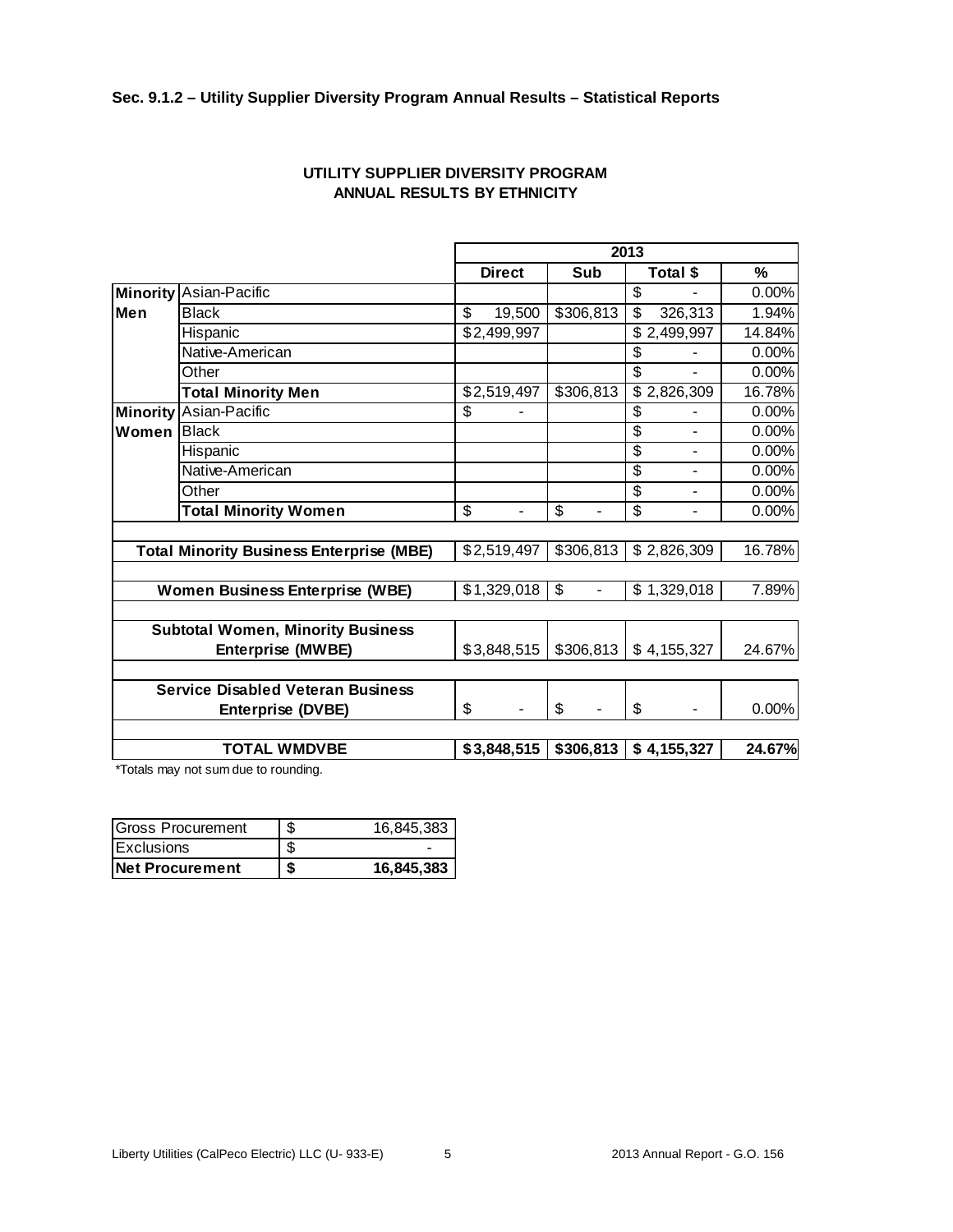# **Sec. 9.1.2 – Utility Supplier Diversity Program Annual Results – Statistical Reports**

|       |                                                 | 2013                 |           |                                            |        |  |
|-------|-------------------------------------------------|----------------------|-----------|--------------------------------------------|--------|--|
|       |                                                 | <b>Direct</b>        | Sub       | Total \$                                   | %      |  |
|       | <b>Minority Asian-Pacific</b>                   |                      |           | \$                                         | 0.00%  |  |
| lMen  | <b>Black</b>                                    | \$<br>19,500         | \$306,813 | 326,313<br>\$                              | 1.94%  |  |
|       | Hispanic                                        | \$2,499,997          |           | \$2,499,997                                | 14.84% |  |
|       | Native-American                                 |                      |           | \$                                         | 0.00%  |  |
|       | Other                                           |                      |           | \$                                         | 0.00%  |  |
|       | <b>Total Minority Men</b>                       | \$2,519,497          | \$306,813 | \$2,826,309                                | 16.78% |  |
|       | Minority Asian-Pacific                          | \$                   |           | \$                                         | 0.00%  |  |
| Women | <b>Black</b>                                    |                      |           | $\overline{\mathcal{S}}$<br>$\blacksquare$ | 0.00%  |  |
|       | Hispanic                                        |                      |           | \$<br>$\blacksquare$                       | 0.00%  |  |
|       | Native-American                                 |                      |           | $\overline{\mathcal{S}}$                   | 0.00%  |  |
|       | Other                                           |                      |           | $\overline{\mathcal{S}}$                   | 0.00%  |  |
|       | <b>Total Minority Women</b>                     | \$<br>$\blacksquare$ | \$        | $\overline{\mathcal{S}}$<br>$\blacksquare$ | 0.00%  |  |
|       |                                                 |                      |           |                                            |        |  |
|       | <b>Total Minority Business Enterprise (MBE)</b> | \$2,519,497          | \$306,813 | \$2,826,309                                | 16.78% |  |
|       |                                                 |                      |           |                                            |        |  |
|       | <b>Women Business Enterprise (WBE)</b>          | \$1,329,018          | S         | \$1,329,018                                | 7.89%  |  |
|       |                                                 |                      |           |                                            |        |  |
|       | <b>Subtotal Women, Minority Business</b>        |                      |           |                                            |        |  |
|       | <b>Enterprise (MWBE)</b>                        | \$3,848,515          | \$306,813 | \$4,155,327                                | 24.67% |  |
|       |                                                 |                      |           |                                            |        |  |
|       | <b>Service Disabled Veteran Business</b>        |                      |           |                                            |        |  |
|       | Enterprise (DVBE)                               | \$                   | \$        | \$                                         | 0.00%  |  |
|       |                                                 |                      |           |                                            |        |  |
|       | <b>TOTAL WMDVBE</b>                             | \$3,848,515          | \$306,813 | \$4,155,327                                | 24.67% |  |

# **UTILITY SUPPLIER DIVERSITY PROGRAM ANNUAL RESULTS BY ETHNICITY**

\*Totals may not sum due to rounding.

| Gross Procurement      | S | 16.845.383 |
|------------------------|---|------------|
| Exclusions             |   |            |
| <b>Net Procurement</b> | S | 16,845,383 |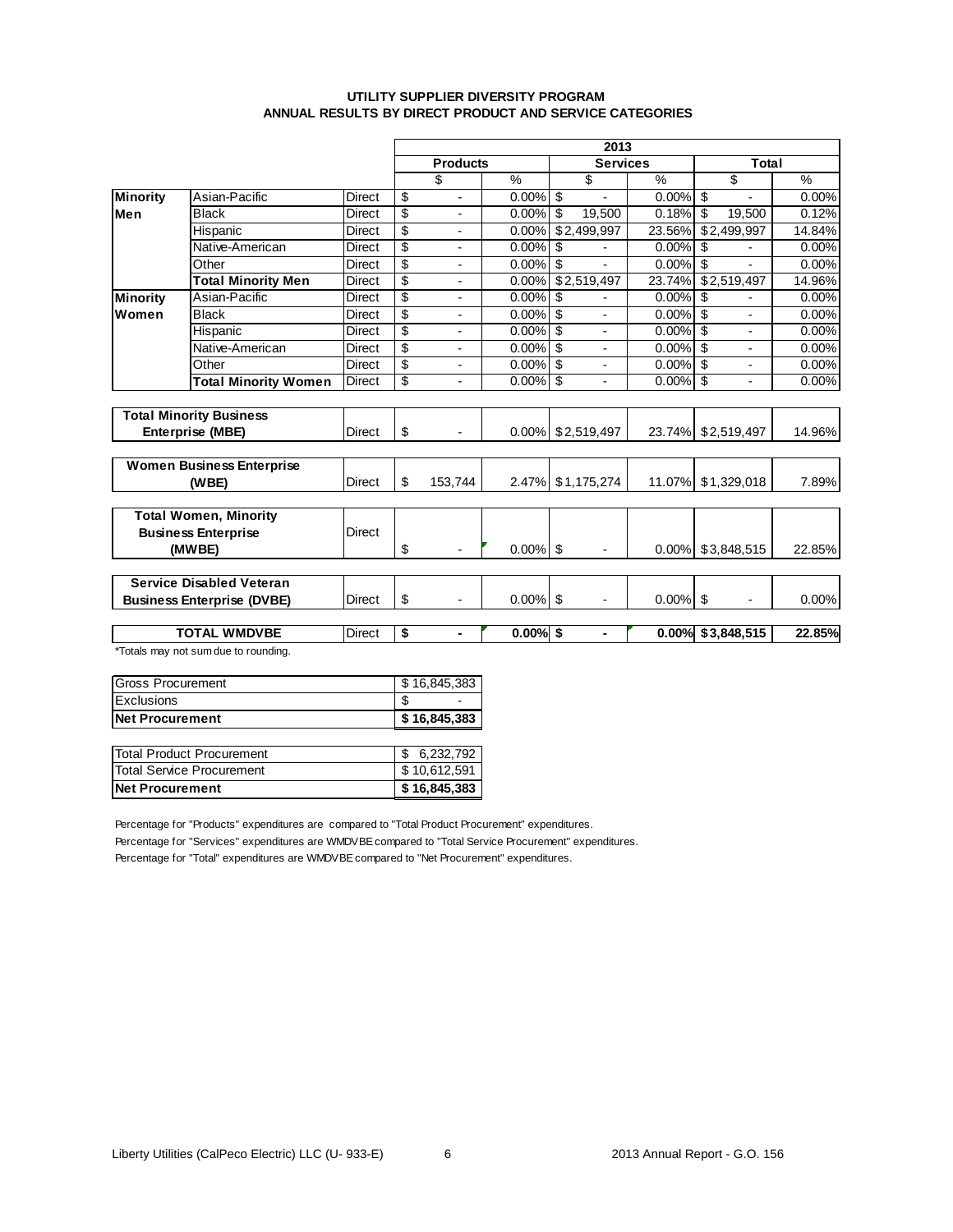### **UTILITY SUPPLIER DIVERSITY PROGRAM ANNUAL RESULTS BY DIRECT PRODUCT AND SERVICE CATEGORIES**

|                 |                                      |               |                                             |         |               | 2013                                       |          |                         |               |
|-----------------|--------------------------------------|---------------|---------------------------------------------|---------|---------------|--------------------------------------------|----------|-------------------------|---------------|
|                 |                                      |               | Total<br><b>Services</b><br><b>Products</b> |         |               |                                            |          |                         |               |
|                 |                                      |               |                                             | \$      | $\frac{0}{0}$ | \$                                         | $\%$     | \$                      | $\frac{9}{6}$ |
| <b>Minority</b> | Asian-Pacific                        | <b>Direct</b> | \$                                          | ÷,      | $0.00\%$      | \$<br>$\blacksquare$                       | $0.00\%$ | \$<br>ä,                | 0.00%         |
| Men             | <b>Black</b>                         | <b>Direct</b> | \$                                          |         | $0.00\%$      | \$<br>19.500                               | 0.18%    | \$<br>19,500            | 0.12%         |
|                 | Hispanic                             | Direct        | \$                                          |         | 0.00%         | $\overline{$}2,499,997$                    | 23.56%   | $\overline{$2,499,997}$ | 14.84%        |
|                 | Native-American                      | <b>Direct</b> | \$                                          | ٠       | 0.00%         | \$                                         | 0.00%    | \$                      | 0.00%         |
|                 | Other                                | <b>Direct</b> | \$                                          |         | $0.00\%$      | \$<br>÷.                                   | 0.00%    | S                       | 0.00%         |
|                 | <b>Total Minority Men</b>            | <b>Direct</b> | $\overline{\$}$                             |         | 0.00%         | \$2,519,497                                | 23.74%   | \$2,519,497             | 14.96%        |
| <b>Minority</b> | Asian-Pacific                        | <b>Direct</b> | \$                                          | ٠       | 0.00%         | \$<br>ä,                                   | 0.00%    | \$                      | 0.00%         |
| Women           | <b>Black</b>                         | <b>Direct</b> | \$                                          |         | 0.00%         | \$                                         | 0.00%    | \$                      | 0.00%         |
|                 | Hispanic                             | Direct        | \$                                          |         | $0.00\%$      | \$                                         | 0.00%    | \$                      | 0.00%         |
|                 | Native-American                      | <b>Direct</b> | \$                                          | ÷       | $0.00\%$      | $\overline{\mathcal{S}}$<br>$\blacksquare$ | $0.00\%$ | \$<br>L,                | 0.00%         |
|                 | Other                                | <b>Direct</b> | \$                                          |         | 0.00%         | \$<br>÷                                    | 0.00%    | \$                      | 0.00%         |
|                 | <b>Total Minority Women</b>          | Direct        | \$                                          |         | $0.00\%$      | \$<br>ä,                                   | 0.00%    | \$<br>ä,                | 0.00%         |
|                 |                                      |               |                                             |         |               |                                            |          |                         |               |
|                 | <b>Total Minority Business</b>       |               |                                             |         |               |                                            |          |                         |               |
|                 | <b>Enterprise (MBE)</b>              | <b>Direct</b> | \$                                          |         |               | $0.00\%$ \$2,519,497                       |          | 23.74% \$2,519,497      | 14.96%        |
|                 | <b>Women Business Enterprise</b>     |               |                                             |         |               |                                            |          |                         |               |
|                 | (WBE)                                | <b>Direct</b> | \$                                          | 153,744 | $2.47\%$      | \$1,175,274                                | 11.07%   | \$1,329,018             | 7.89%         |
|                 |                                      |               |                                             |         |               |                                            |          |                         |               |
|                 | <b>Total Women, Minority</b>         |               |                                             |         |               |                                            |          |                         |               |
|                 | <b>Business Enterprise</b>           | <b>Direct</b> |                                             |         |               |                                            |          |                         |               |
|                 | (MWBE)                               |               | \$                                          |         | $0.00\%$ \$   |                                            | $0.00\%$ | \$3,848,515             | 22.85%        |
|                 |                                      |               |                                             |         |               |                                            |          |                         |               |
|                 | <b>Service Disabled Veteran</b>      |               |                                             |         |               |                                            |          |                         |               |
|                 | <b>Business Enterprise (DVBE)</b>    | <b>Direct</b> | \$                                          |         | $0.00\%$      | \$                                         | $0.00\%$ | \$                      | 0.00%         |
|                 | <b>TOTAL WMDVBE</b>                  | Direct        | \$                                          | ٠       | $0.00\%$ \$   | $\blacksquare$                             | 0.00%    | \$3,848,515             | 22.85%        |
|                 | *Totals may not sum due to rounding. |               |                                             |         |               |                                            |          |                         |               |
|                 |                                      |               |                                             |         |               |                                            |          |                         |               |

| lNet Procurement          | \$16,845,383 |
|---------------------------|--------------|
| <b>Exclusions</b>         |              |
| <b>IGross Procurement</b> | \$16,845,383 |

| <b>Net Procurement</b>           | \$16,845,383 |
|----------------------------------|--------------|
| <b>Total Service Procurement</b> | \$10,612,591 |
| Total Product Procurement        | \$6,232,792  |

Percentage for "Products" expenditures are compared to "Total Product Procurement" expenditures.

Percentage for "Services" expenditures are WMDVBE compared to "Total Service Procurement" expenditures.

Percentage for "Total" expenditures are WMDVBE compared to "Net Procurement" expenditures.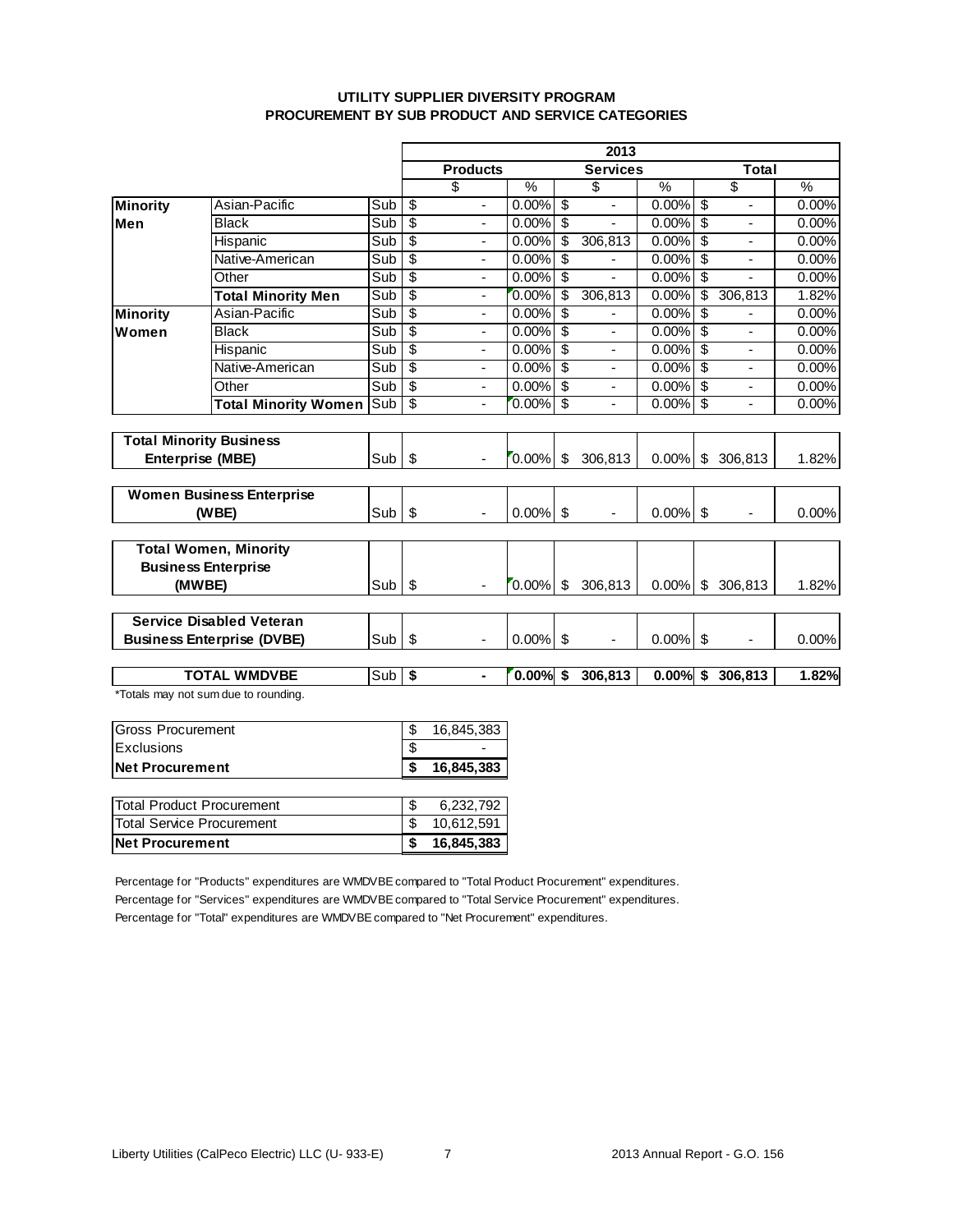### **UTILITY SUPPLIER DIVERSITY PROGRAM PROCUREMENT BY SUB PRODUCT AND SERVICE CATEGORIES**

|                          |                                      |                           | 2013                     |                          |             |                           |                              |               |                          |                          |       |
|--------------------------|--------------------------------------|---------------------------|--------------------------|--------------------------|-------------|---------------------------|------------------------------|---------------|--------------------------|--------------------------|-------|
|                          |                                      |                           |                          | <b>Products</b>          |             |                           | <b>Services</b>              |               |                          | <b>Total</b>             |       |
|                          |                                      |                           |                          | \$                       | %           |                           | \$                           | $\frac{0}{6}$ |                          | $\overline{\$}$          | %     |
| Minority                 | Asian-Pacific                        | Sub                       | $\overline{\mathcal{S}}$ | ÷,                       | 0.00%       | s)                        | $\qquad \qquad \blacksquare$ | 0.00%         | \$                       |                          | 0.00% |
| Men                      | <b>Black</b>                         | Sub                       | \$                       | $\overline{\phantom{a}}$ | 0.00%       | $\overline{\mathfrak{s}}$ |                              | $0.00\%$ \$   |                          |                          | 0.00% |
|                          | Hispanic                             | Sub                       | $\overline{\mathcal{E}}$ | $\overline{\phantom{a}}$ | 0.00%       | $\overline{\$}$           | 306,813                      | $0.00\%$ \$   |                          | $\overline{\phantom{a}}$ | 0.00% |
|                          | Native-American                      | Sub                       | \$                       | $\overline{\phantom{a}}$ | $0.00\%$ \$ |                           |                              | $0.00\%$ \$   |                          | $\overline{\phantom{a}}$ | 0.00% |
|                          | Other                                | Sub                       | $\overline{\$}$          | $\blacksquare$           | $0.00\%$ \$ |                           | $\overline{a}$               | $0.00\%$ \$   |                          | ÷,                       | 0.00% |
|                          | <b>Total Minority Men</b>            | Sub                       | \$                       | $\overline{\phantom{a}}$ | $0.00\%$    | $\overline{\mathcal{S}}$  | 306,813                      | 0.00%         | $\overline{\mathcal{S}}$ | 306,813                  | 1.82% |
| <b>Minority</b>          | Asian-Pacific                        | Sub                       | \$                       | $\blacksquare$           | 0.00%       | $\overline{\mathcal{S}}$  | $\overline{a}$               | 0.00%         | $\overline{\mathcal{S}}$ |                          | 0.00% |
| Women                    | <b>Black</b>                         | $\overline{\mathsf{Sub}}$ | $\overline{\$}$          | $\overline{\phantom{a}}$ | 0.00%       | s)                        | $\blacksquare$               | $0.00\%$ \$   |                          | $\blacksquare$           | 0.00% |
|                          | Hispanic                             | Sub                       | \$                       | $\blacksquare$           | 0.00%       | \$                        | ÷,                           | 0.00%         | -\$                      | $\overline{a}$           | 0.00% |
|                          | Native-American                      | Sub                       | $\overline{\$}$          | $\blacksquare$           | 0.00%       | s)                        | $\frac{1}{2}$                | 0.00%         | $\overline{\mathcal{S}}$ | $\overline{a}$           | 0.00% |
|                          | Other                                | Sub                       | $\overline{\$}$          | $\overline{\phantom{a}}$ | 0.00%       | $\overline{\mathcal{S}}$  | $\overline{\phantom{a}}$     | 0.00%         | $\overline{\mathcal{S}}$ | $\overline{\phantom{a}}$ | 0.00% |
|                          | <b>Total Minority Women</b>          | Sub                       | $\overline{\$}$          | $\overline{\phantom{a}}$ | $0.00\%$    | \$                        | ÷,                           | 0.00%         | $\overline{\mathcal{S}}$ | $\overline{\phantom{a}}$ | 0.00% |
|                          |                                      |                           |                          |                          |             |                           |                              |               |                          |                          |       |
|                          | <b>Total Minority Business</b>       |                           |                          |                          |             |                           |                              |               |                          |                          |       |
|                          | Enterprise (MBE)                     | Sub                       | \$                       | $\blacksquare$           | $0.00\%$    | \$                        | 306,813                      | 0.00%         | \$                       | 306,813                  | 1.82% |
|                          |                                      |                           |                          |                          |             |                           |                              |               |                          |                          |       |
|                          | <b>Women Business Enterprise</b>     |                           |                          |                          |             |                           |                              |               |                          |                          |       |
|                          | (WBE)                                | Sub                       | \$                       |                          | 0.00%       | \$                        |                              | $0.00\%$ \$   |                          |                          | 0.00% |
|                          |                                      |                           |                          |                          |             |                           |                              |               |                          |                          |       |
|                          | <b>Total Women, Minority</b>         |                           |                          |                          |             |                           |                              |               |                          |                          |       |
|                          | <b>Business Enterprise</b>           |                           |                          |                          |             |                           |                              |               |                          |                          |       |
|                          | (MWBE)                               | Sub                       | \$                       |                          | $0.00\%$    | \$                        | 306,813                      |               |                          | $0.00\%$ \$ 306,813      | 1.82% |
|                          |                                      |                           |                          |                          |             |                           |                              |               |                          |                          |       |
|                          | <b>Service Disabled Veteran</b>      |                           |                          |                          |             |                           |                              |               |                          |                          |       |
|                          | <b>Business Enterprise (DVBE)</b>    | Sub                       | \$                       | $\overline{\phantom{a}}$ | $0.00\%$ \$ |                           | $\overline{\phantom{a}}$     | $0.00\%$ \$   |                          | ä,                       | 0.00% |
|                          |                                      |                           |                          |                          |             |                           |                              |               |                          |                          |       |
|                          | <b>TOTAL WMDVBE</b>                  | Sub                       | $\overline{\mathbf{s}}$  | $\blacksquare$           | $0.00\%$ \$ |                           | 306,813                      | $0.00%$ \$    |                          | 306,813                  | 1.82% |
|                          | *Totals may not sum due to rounding. |                           |                          |                          |             |                           |                              |               |                          |                          |       |
| <b>Gross Procurement</b> |                                      |                           | \$                       | 16,845,383               |             |                           |                              |               |                          |                          |       |
| Exclusions               |                                      |                           | \$                       |                          |             |                           |                              |               |                          |                          |       |
| <b>Net Procurement</b>   |                                      |                           | \$                       | 16,845,383               |             |                           |                              |               |                          |                          |       |
|                          |                                      |                           |                          |                          |             |                           |                              |               |                          |                          |       |
|                          |                                      |                           |                          |                          |             |                           |                              |               |                          |                          |       |

| <b>ITotal Product Procurement</b><br><b>ITotal Service Procurement</b> | 6.232.792<br>10.612.591 |
|------------------------------------------------------------------------|-------------------------|
| <b>Net Procurement</b>                                                 | 16,845,383              |
|                                                                        |                         |

Percentage for "Products" expenditures are WMDVBE compared to "Total Product Procurement" expenditures. Percentage for "Services" expenditures are WMDVBE compared to "Total Service Procurement" expenditures. Percentage for "Total" expenditures are WMDVBE compared to "Net Procurement" expenditures.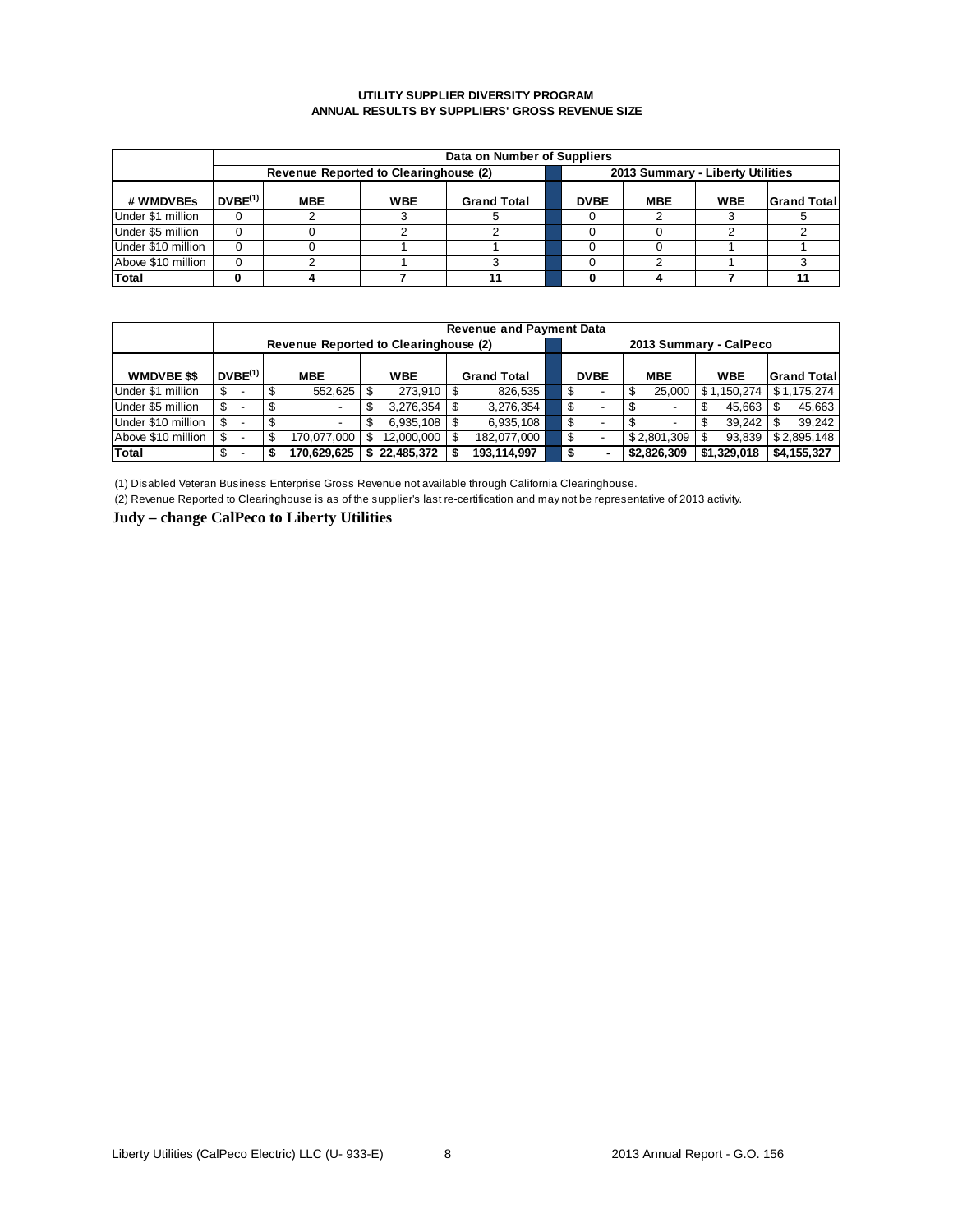#### **UTILITY SUPPLIER DIVERSITY PROGRAM ANNUAL RESULTS BY SUPPLIERS' GROSS REVENUE SIZE**

|                    | Data on Number of Suppliers |                                       |            |                    |  |                                  |            |            |                    |  |  |  |  |  |
|--------------------|-----------------------------|---------------------------------------|------------|--------------------|--|----------------------------------|------------|------------|--------------------|--|--|--|--|--|
|                    |                             | Revenue Reported to Clearinghouse (2) |            |                    |  | 2013 Summary - Liberty Utilities |            |            |                    |  |  |  |  |  |
| # WMDVBEs          | DVBE <sup>(1)</sup>         | <b>MBE</b>                            | <b>WBE</b> | <b>Grand Total</b> |  | <b>DVBE</b>                      | <b>MBE</b> | <b>WBE</b> | <b>Grand Total</b> |  |  |  |  |  |
| Under \$1 million  |                             |                                       |            |                    |  |                                  |            |            |                    |  |  |  |  |  |
| Under \$5 million  |                             |                                       |            |                    |  |                                  |            |            |                    |  |  |  |  |  |
| Under \$10 million |                             |                                       |            |                    |  |                                  |            |            |                    |  |  |  |  |  |
| Above \$10 million |                             |                                       |            |                    |  |                                  |            |            |                    |  |  |  |  |  |
| Total              |                             |                                       |            |                    |  |                                  |            |            |                    |  |  |  |  |  |

|                    | <b>Revenue and Payment Data</b> |                     |  |                                       |   |            |  |                    |                        |             |  |                   |  |             |  |                    |
|--------------------|---------------------------------|---------------------|--|---------------------------------------|---|------------|--|--------------------|------------------------|-------------|--|-------------------|--|-------------|--|--------------------|
|                    |                                 |                     |  | Revenue Reported to Clearinghouse (2) |   |            |  |                    | 2013 Summary - CalPeco |             |  |                   |  |             |  |                    |
| <b>WMDVBE \$\$</b> |                                 | DVBE <sup>(1)</sup> |  | <b>MBE</b>                            |   | <b>WBE</b> |  | <b>Grand Total</b> |                        | <b>DVBE</b> |  | <b>MBE</b>        |  | <b>WBE</b>  |  | <b>Grand Total</b> |
| Under \$1 million  | \$.                             |                     |  | 552.625                               |   | 273.910    |  | 826,535            | -95                    |             |  | 25,000            |  | \$1.150.274 |  | \$1.175.274        |
| Under \$5 million  | S                               |                     |  |                                       |   | 3.276.354  |  | 3.276.354          | S                      |             |  |                   |  | 45.663      |  | 45.663             |
| Under \$10 million | \$.                             |                     |  |                                       |   | 6.935.108  |  | 6.935.108          | - \$                   |             |  |                   |  | 39.242      |  | 39.242             |
| Above \$10 million | \$                              |                     |  | 170.077.000                           |   | 12.000.000 |  | 182.077.000        | - \$                   |             |  | $$2.801.309$ \ \$ |  | 93.839      |  | \$2.895.148        |
| <b>Total</b>       | \$                              |                     |  | 170.629.625                           | S | 22.485.372 |  | 193.114.997        |                        |             |  | \$2,826,309       |  | \$1,329,018 |  | \$4.155.327        |

(1) Disabled Veteran Business Enterprise Gross Revenue not available through California Clearinghouse.

(2) Revenue Reported to Clearinghouse is as of the supplier's last re-certification and may not be representative of 2013 activity.

**Judy – change CalPeco to Liberty Utilities**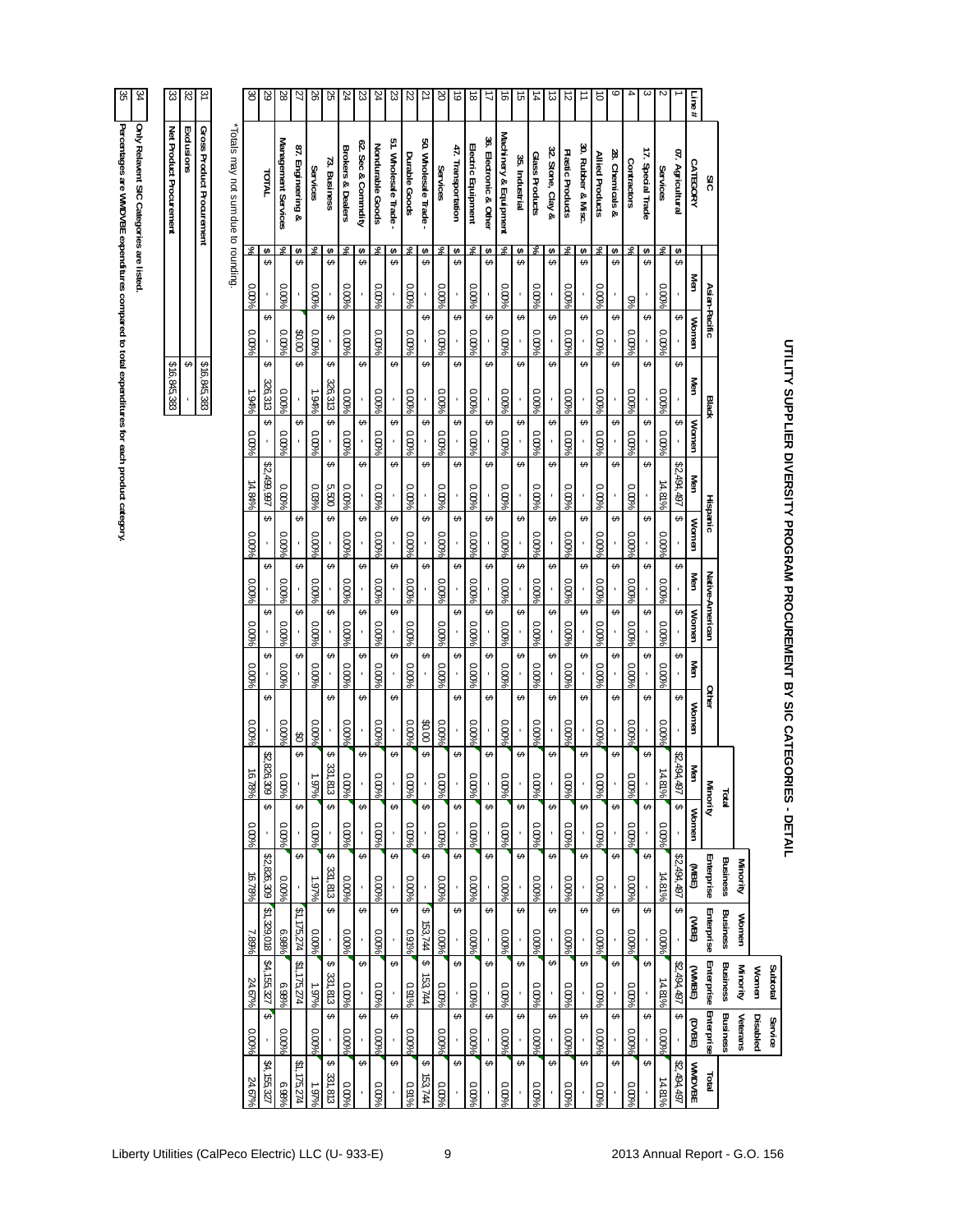| Percentages are MMDVBE expenditures compared to 1 | nly Relavent SIC Categories are listed |
|---------------------------------------------------|----------------------------------------|

| berty Utilities (CalPeco Electric) LLC (U- 933-E) |  |
|---------------------------------------------------|--|

| kclusions<br><b>TATOT</b><br>$\boldsymbol{\omega}$<br>శ<br>↮ | ross Product Procurement | otals may not sum due to rounding | Management Services |        |                                        |          | $^{87}$<br>Engineering &<br>$\leftrightarrow$<br>↮ | Services<br>శ | 73. Business<br>$\bullet$<br>$\epsilon$ | <b>Brokers &amp; Dealers</b><br>శ | 62. Sec & Commdity<br>$\pmb{\varphi}$<br>$\epsilon$ | Nondurable Goods<br>వ్ | 51. Wholesale Trade<br>$\bullet$<br>$\epsilon$ | Durable Goods<br>శ | ă0.<br>Wholesale Trade<br>$\bullet$<br>↮ | Services<br>వి | 47. Transportation<br>$\pmb{\leftrightarrow}$<br>↮ | Electric Equipment<br>శ | 36. Electronic & Other<br>$\pmb{\leadsto}$<br>↮ | Machinery & Equipmen<br>శ | 35. Industrial<br>$\bullet$<br>⊷ | Glass Products<br>వ్ | 32. Stone, Clay &<br>$\pmb{\leadsto}$<br>G, | Plastic Products<br>శ | 30. Rubber & Misc<br>$\pmb{\leftrightarrow}$<br>↮ | Allied Products<br>೫ | 28.<br>Chemicals &<br>$\leftrightarrow$<br>$\epsilon$ | Contractors<br>వ్ | 17. Special Trade<br>\$<br>⊷ | Services<br>శ | 07.<br>Agricultural<br>↮     | <b>CATEGORY</b><br>Men | SIC             |                 |          |                 |          |
|--------------------------------------------------------------|--------------------------|-----------------------------------|---------------------|--------|----------------------------------------|----------|----------------------------------------------------|---------------|-----------------------------------------|-----------------------------------|-----------------------------------------------------|------------------------|------------------------------------------------|--------------------|------------------------------------------|----------------|----------------------------------------------------|-------------------------|-------------------------------------------------|---------------------------|----------------------------------|----------------------|---------------------------------------------|-----------------------|---------------------------------------------------|----------------------|-------------------------------------------------------|-------------------|------------------------------|---------------|------------------------------|------------------------|-----------------|-----------------|----------|-----------------|----------|
|                                                              |                          |                                   |                     | 0.00%  |                                        | 0.00%    |                                                    | 0.00%         |                                         | 0.00%                             |                                                     | 0.00%                  |                                                | 0.00%              |                                          | 0.00%          |                                                    | 0.00%                   |                                                 | 0.00%                     |                                  | 0.00%                |                                             | 0.00%                 |                                                   | 0.00%                |                                                       | %                 |                              | 0.00%         |                              |                        | Asian-Pacific   |                 |          |                 |          |
|                                                              |                          |                                   |                     | 0.00%  |                                        | $0.00\%$ | 0003                                               | 0.00%         |                                         | $0.00\%$                          |                                                     | 0.00%                  |                                                | 0.00%              |                                          | 0.00%          | ↮                                                  | 0.00%                   |                                                 | 0.00%                     | ∽                                | 0.00%                |                                             | 0.00%                 |                                                   | $0.00\%$             |                                                       | 0.00%             |                              | 0.00%         |                              | Women                  |                 |                 |          |                 |          |
| \$16,845,383                                                 |                          | \$16,845,383                      |                     | 1.94%  | 326,313                                | 0.00%    |                                                    | 1.94%         | 326,313                                 | 0.00%                             |                                                     | 0.00%                  |                                                | 0.00%              |                                          | 0.00%          |                                                    | 0.00%                   |                                                 | 0.00%                     |                                  | 0.00%                |                                             | 0.00%                 |                                                   | 0.00%                |                                                       | 0.00%             |                              | 0.00%         |                              | Men                    | <b>Black</b>    |                 |          |                 |          |
|                                                              |                          |                                   |                     | 0.00%  |                                        | 0.00%    |                                                    | 0.00%         |                                         | 0.00%                             |                                                     | 0.00%                  |                                                | 0.00%              |                                          | 0.00%          |                                                    | 0.00%                   |                                                 | 0.00%                     |                                  | 0.00%                |                                             | 0.00%                 |                                                   | 0.00%                |                                                       | 0.00%             |                              | 0.00%         |                              | Women                  |                 |                 |          |                 |          |
|                                                              |                          |                                   |                     | 14.84% | \$2,<br>L66'66 <sup>+</sup>            | 0.00%    |                                                    | 0.03%         | 5,500                                   | 0.00%                             |                                                     | $0.00\%$               | €                                              | 9600'0             | ↮                                        | 0.00%          | ↮                                                  | $0.00\%$                | ↮                                               | $0.00\%$                  | $\epsilon$                       | 9600'0               |                                             | 0.00%                 | G,                                                | 0.00%                |                                                       | 0.00%             | $\epsilon$                   | 14.81%        | \$2,494,497                  | Men                    |                 |                 |          |                 |          |
|                                                              |                          |                                   |                     | 0.00%  | ↮                                      | 0.00%    | ↮                                                  | 0.00%         | ↔                                       | 0.00%                             | €                                                   | 0.00%                  | ↮                                              | $0.00\%$           | ↮                                        | 0.00%          | ↮                                                  | 0.00%                   | ↮                                               | 0.00%                     | ↮                                | 0.00%                | ∽                                           | 0.00%                 | ↮                                                 | 0.00%                | ↮                                                     | 0.00%             | ↮                            | 0.00%         | ∽                            | Women                  | Hispanic        |                 |          |                 |          |
|                                                              |                          |                                   |                     | 0.00%  | ∽                                      | 0.00%    | ↚                                                  | 0.00%         | ↮                                       | 0.00%                             | ↚                                                   | 0.00%                  | €                                              | 0.00%              | ↮                                        | 0.00%          | ↮                                                  | 0.00%                   | ↮                                               | 0.00%                     | ↮                                | 0.00%                | ↚                                           | 0.00%                 | ↮                                                 | 0.00%                | €                                                     | 0.00%             | ∽                            | 0.00%         |                              | Men                    |                 |                 |          |                 |          |
|                                                              |                          |                                   |                     | 0.00%  | G.                                     | 0.00%    |                                                    | 0.00%         |                                         | 0.00%                             |                                                     | 0.00%                  |                                                | 0.00%              |                                          | 0.00%          | ↮                                                  | 0.00%                   | ↮                                               | 0.00%                     | ↮                                | 0.00%                |                                             | 0.00%                 |                                                   | 0.00%                |                                                       | 0.00%             | ↮                            | 0.00%         |                              | <b>Momen</b>           | Native-American |                 |          |                 |          |
|                                                              |                          |                                   |                     | 0.00%  |                                        | 0.00%    |                                                    | 0.00%         |                                         | 0.00%                             |                                                     | 0.00%                  |                                                | 0.00%              |                                          | 0.00%          |                                                    | 0.00%                   |                                                 | 0.00%                     |                                  | 0.00%                |                                             | 0.00%                 |                                                   | 0.00%                |                                                       | 0.00%             |                              | 0.00%         |                              | Men                    |                 |                 |          |                 |          |
|                                                              |                          |                                   |                     | 0.00%  | ↮                                      | 0.00%    | $\mathfrak{S}$                                     | 0.00%         |                                         | $0.00\%$                          |                                                     | 0.00%                  | €                                              | 0.00%              | 00.08                                    | 0.00%          | ∽                                                  | 0.00%                   | ∽                                               | $0.00\%$                  | ∽                                | 0.00%                |                                             | 0.00%                 |                                                   | 0.00%                |                                                       | 0.00%             |                              | 0.00%         |                              | Women                  | Other           |                 |          |                 |          |
|                                                              |                          |                                   |                     | 16.78% | $\boldsymbol{\mathcal{E}}$<br>,826,309 | 0.00%    |                                                    | 1.97%         | 331,813                                 | $0.00\%$                          |                                                     | 0.00%                  |                                                | 0.00%              |                                          | $0.00\%$       |                                                    | $0.00\%$                |                                                 | $0.00\%$                  | ∽                                | 0.00%                |                                             | 0.00%                 |                                                   | 0.00%                |                                                       | 0.00%             |                              | 14.81%        | $\mathfrak{z}_i$<br>,494,497 | Men                    | Minority        | <b>Total</b>    |          |                 |          |
|                                                              |                          |                                   |                     | 9600'0 |                                        | 0.00%    |                                                    | 0.00%         |                                         | 0.00%                             |                                                     | 0.00%                  |                                                | 0.00%              | $\epsilon$                               | 0.00%          |                                                    | 0.00%                   | ↮                                               | 0.00%                     |                                  | 0.00%                |                                             | 0.00%                 |                                                   | 0.00%                |                                                       | 0.00%             |                              | 0.00%         |                              | Women                  |                 |                 |          |                 |          |
|                                                              |                          |                                   |                     | 16.78% | \$2,826,309                            | 0.00%    |                                                    | 1.97%         | 331,813                                 | 0.00%                             |                                                     | 0.00%                  |                                                | 0.00%              |                                          | $0.00\%$       | ↮                                                  | 0.00%                   | ↮                                               | $0.00\%$                  | ↮                                | 0.00%                |                                             | 0.00%                 | ↮                                                 | 0.00%                | ↮                                                     | 0.00%             |                              | 14.81%        | \$2,494,497                  | (JIBE)                 | Enterprise      | <b>Business</b> | Minority |                 | r        |
|                                                              |                          |                                   |                     | %68    | \$1,329,018                            | 6.98%    | \$1,175,274                                        | 0.00%         | ↮                                       | 0.00%                             | €                                                   | 0.00%                  | $\epsilon$                                     | 0.91%              | ↮<br>153,744                             | $0.00\%$       | ↮                                                  | 0.00%                   | ↮                                               | $0.00\%$                  | $\epsilon$                       | 0.00%                | €                                           | 0.00%                 | G,                                                | 0.00%                | $\epsilon$                                            | 0.00%             | €                            | 0.00%         | G,                           | (JIBE)                 | Enterprise      | <b>Business</b> | Women    |                 |          |
|                                                              |                          |                                   |                     | 24.67% | \$4,155,327                            | 6.98%    | \$1,175,274                                        | $-979$        | ↮<br>331,813                            | 0.00%                             | ∽                                                   | 0.00%                  | ∽                                              | 0.91%              | ↮<br>153,744                             | 0.00%          | ↮                                                  | 0.00%                   | ↮                                               | 0.00%                     | ↮                                | 0.00%                | ↚                                           | 0.00%                 | $\epsilon$                                        | 0.00%                | ↮                                                     | 0.00%             |                              | 14.81%        | \$2,494,497                  | (JNMBE)                | Enterprise      | <b>Business</b> | Minority | Women           | Subtotal |
|                                                              |                          |                                   |                     | 0.00%  | ⊷                                      | 0.00%    |                                                    | 0.00%         | ↮                                       | 0.00%                             | $\epsilon$                                          | 0.00%                  | $\Theta$                                       | 0.00%              |                                          | 0.00%          | ↮                                                  | 0.00%                   | ↮                                               | 0.00%                     | $\leftrightarrow$                | 0.00%                | $\epsilon$                                  | 0.00%                 | $\leftrightarrow$                                 | 0.00%                | ↮                                                     | 0.00%             | ↮                            | 0.00%         | $\epsilon$                   | (DVBE)                 | Enterprise      | <b>Business</b> | Veterans | <b>Disabled</b> | Service  |
|                                                              |                          |                                   |                     | 24.67% | \$4,155,327                            | 6.98%    | \$1,175,274                                        | % L61         | ↮<br>331,813                            | 9600'0                            | $\leftrightarrow$                                   | 9600'0                 | $\leftrightarrow$                              | 0.91%              | ↮<br>153,744                             | $0.00\%$       | ↮                                                  | 96000                   | ↮                                               | %00°                      | ↮                                | 96000                | ↮                                           | 96000                 | ↮                                                 | 96000                | ↔                                                     | $0.00\%$          | ↮                            | 14.81%        | \$2,494,497                  | <b>WMDVBE</b>          | <b>Idia</b>     |                 |          |                 |          |

# **UTILITY SUPPLIER DIVERSITY PROGRAM PROCUREMENT BY SIC CATEGORIES - DETAIL**

د **Line #**

 $\sim$ 

 $\tilde{\phantom{a}}$ 

 $\ddot{}$ 

 $\circ$ 

 $\frac{1}{\sigma}$ 

 $\equiv$ 

12

 $\frac{1}{3}$ 

 $\frac{1}{4}$ 

15

 $\frac{1}{6}$ 

17

 $\frac{1}{8}$ 

ا ہے<br>ا

20

21

22

23

24

23

24

25

26

27

28

29

30

31

32

33

 **Net Product Procurement**

 **Exclusions**

**Gross Product Procurement**

\*Totals may not sum due to rounding.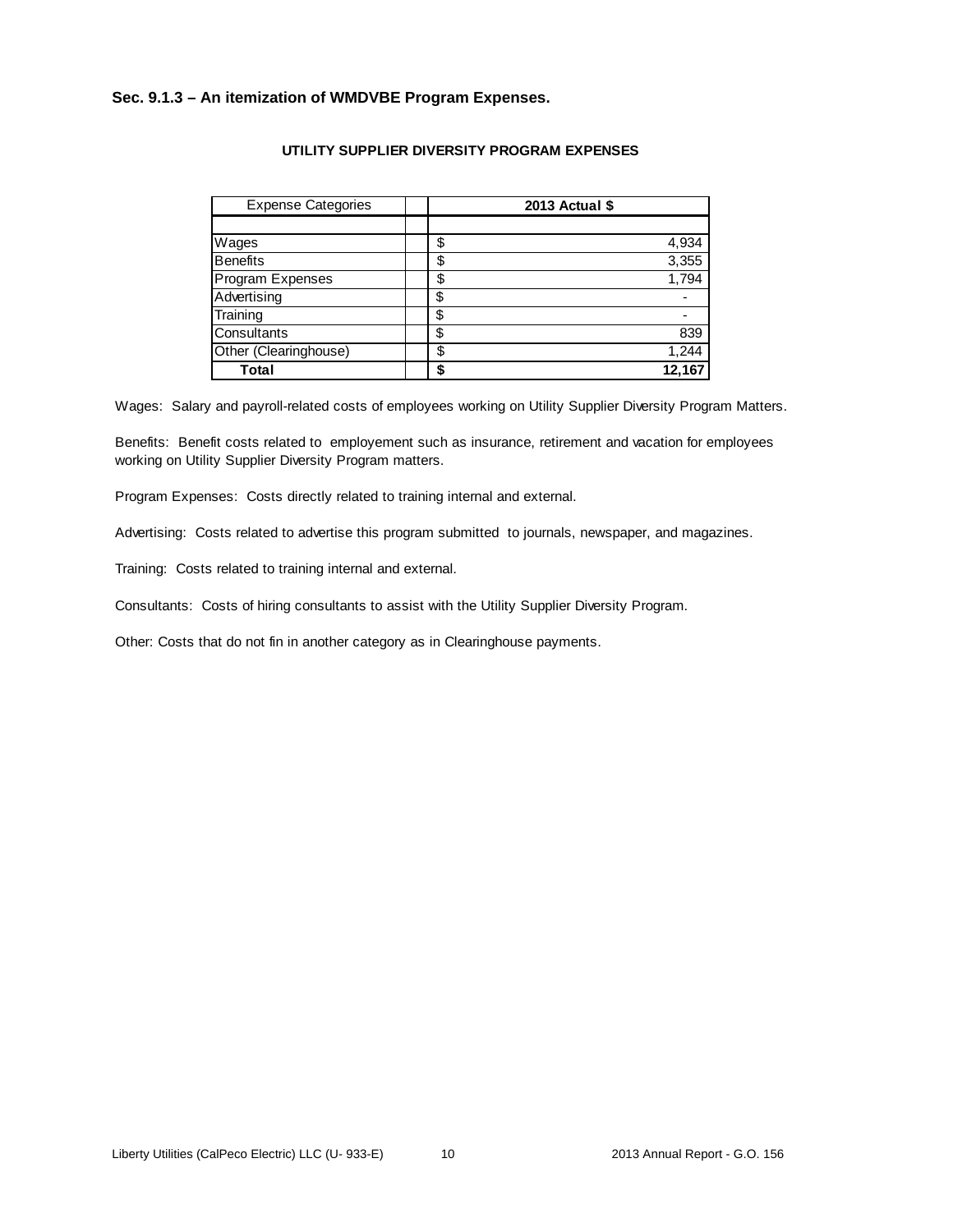## **Sec. 9.1.3 – An itemization of WMDVBE Program Expenses.**

| <b>Expense Categories</b> | 2013 Actual \$ |
|---------------------------|----------------|
|                           |                |
| Wages                     | \$<br>4,934    |
| <b>Benefits</b>           | \$<br>3,355    |
| Program Expenses          | \$<br>1,794    |
| Advertising               | \$             |
| Training                  | \$             |
| Consultants               | \$<br>839      |
| Other (Clearinghouse)     | \$<br>1,244    |
| Total                     | 12.167         |

### **UTILITY SUPPLIER DIVERSITY PROGRAM EXPENSES**

Wages: Salary and payroll-related costs of employees working on Utility Supplier Diversity Program Matters.

Benefits: Benefit costs related to employement such as insurance, retirement and vacation for employees working on Utility Supplier Diversity Program matters.

Program Expenses: Costs directly related to training internal and external.

Advertising: Costs related to advertise this program submitted to journals, newspaper, and magazines.

Training: Costs related to training internal and external.

Consultants: Costs of hiring consultants to assist with the Utility Supplier Diversity Program.

Other: Costs that do not fin in another category as in Clearinghouse payments.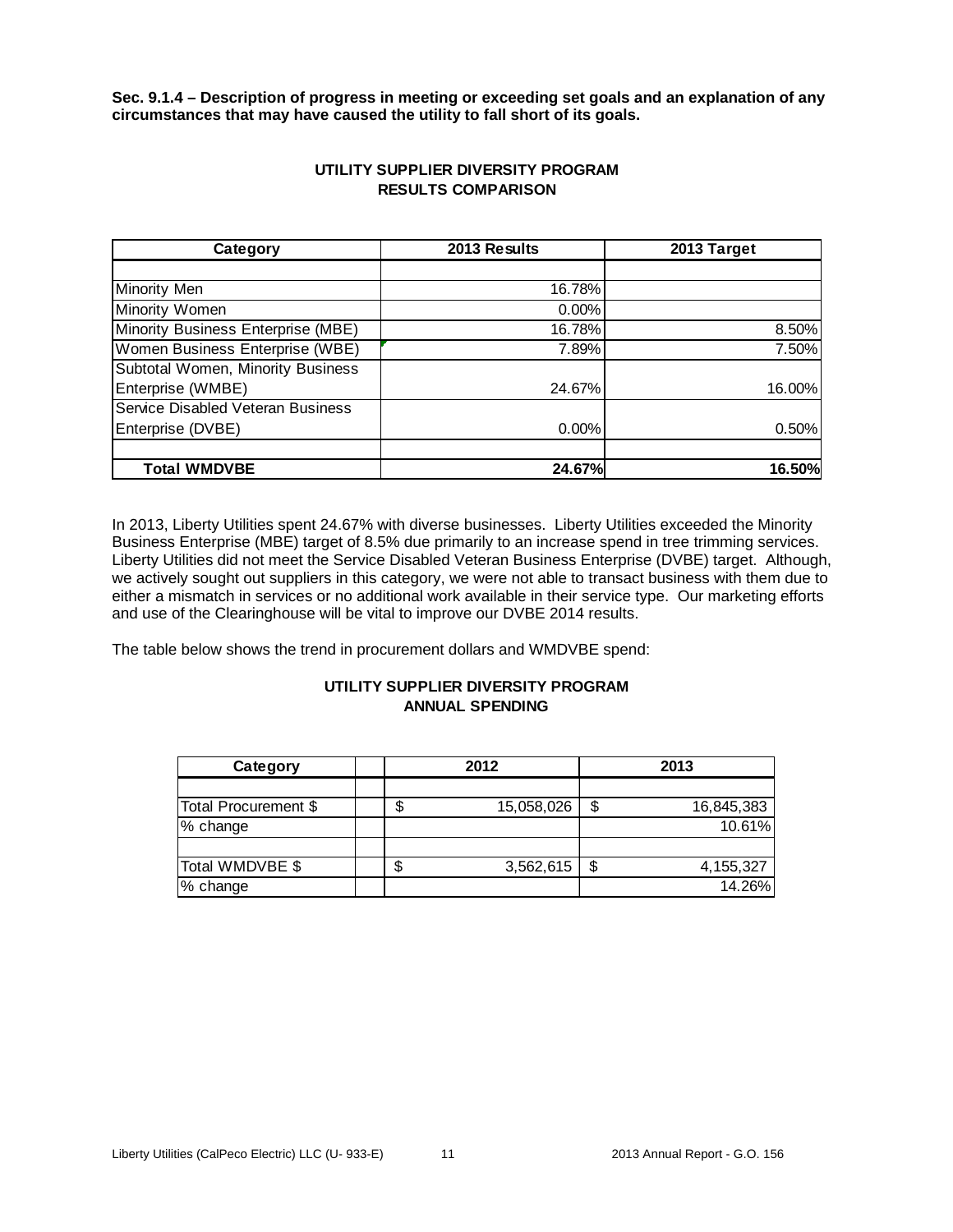**Sec. 9.1.4 – Description of progress in meeting or exceeding set goals and an explanation of any circumstances that may have caused the utility to fall short of its goals.** 

| Category                           | 2013 Results | 2013 Target |
|------------------------------------|--------------|-------------|
|                                    |              |             |
| Minority Men                       | 16.78%       |             |
| Minority Women                     | $0.00\%$     |             |
| Minority Business Enterprise (MBE) | 16.78%       | 8.50%       |
| Women Business Enterprise (WBE)    | 7.89%        | 7.50%       |
| Subtotal Women, Minority Business  |              |             |
| Enterprise (WMBE)                  | 24.67%       | 16.00%      |
| Service Disabled Veteran Business  |              |             |
| Enterprise (DVBE)                  | 0.00%        | 0.50%       |
|                                    |              |             |
| <b>Total WMDVBE</b>                | 24.67%       | 16.50%      |

# **UTILITY SUPPLIER DIVERSITY PROGRAM RESULTS COMPARISON**

In 2013, Liberty Utilities spent 24.67% with diverse businesses. Liberty Utilities exceeded the Minority Business Enterprise (MBE) target of 8.5% due primarily to an increase spend in tree trimming services. Liberty Utilities did not meet the Service Disabled Veteran Business Enterprise (DVBE) target. Although, we actively sought out suppliers in this category, we were not able to transact business with them due to either a mismatch in services or no additional work available in their service type. Our marketing efforts and use of the Clearinghouse will be vital to improve our DVBE 2014 results.

The table below shows the trend in procurement dollars and WMDVBE spend:

# **UTILITY SUPPLIER DIVERSITY PROGRAM ANNUAL SPENDING**

| Category             |   | 2012       | 2013 |            |  |
|----------------------|---|------------|------|------------|--|
|                      |   |            |      |            |  |
| Total Procurement \$ |   | 15,058,026 |      | 16,845,383 |  |
| % change             |   |            |      | 10.61%     |  |
|                      |   |            |      |            |  |
| Total WMDVBE \$      | S | 3,562,615  | \$   | 4,155,327  |  |
| % change             |   |            |      | 14.26%     |  |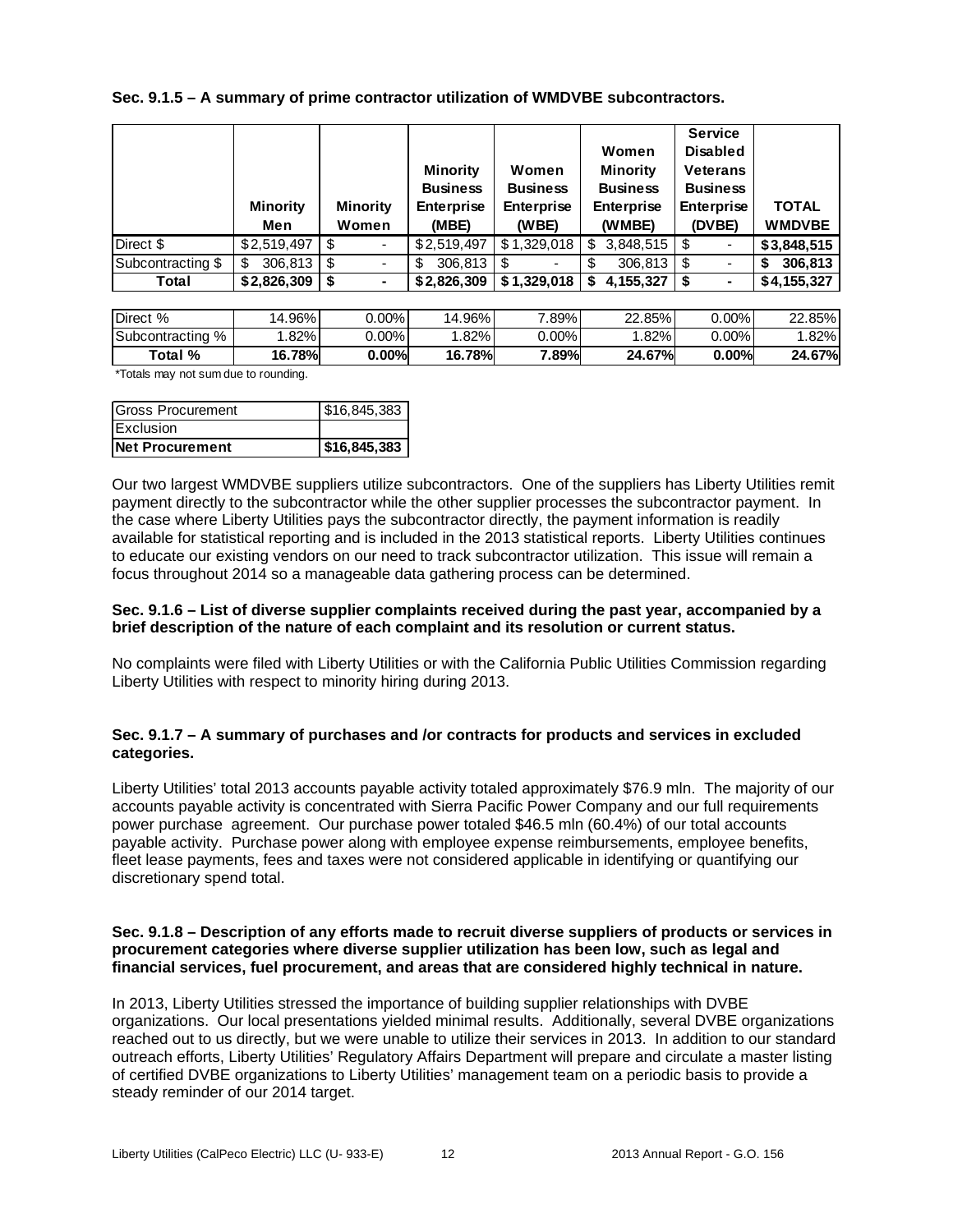**Sec. 9.1.5 – A summary of prime contractor utilization of WMDVBE subcontractors.**

|                   | <b>Minority</b> | <b>Minority</b> | <b>Minority</b><br><b>Business</b><br><b>Enterprise</b> | Women<br><b>Business</b><br><b>Enterprise</b> | Women<br><b>Minority</b><br><b>Business</b><br><b>Enterprise</b> | <b>Service</b><br><b>Disabled</b><br><b>Veterans</b><br><b>Business</b><br><b>Enterprise</b> | <b>TOTAL</b>  |
|-------------------|-----------------|-----------------|---------------------------------------------------------|-----------------------------------------------|------------------------------------------------------------------|----------------------------------------------------------------------------------------------|---------------|
|                   | Men             | Women           | (MBE)                                                   | (WBE)                                         | (WMBE)                                                           | (DVBE)                                                                                       | <b>WMDVBE</b> |
| Direct \$         | \$2,519,497     | -\$             | \$2.519.497                                             | \$1,329,018                                   | 3,848,515<br>\$.                                                 |                                                                                              | \$3,848,515   |
| Subcontracting \$ | 306,813<br>\$.  | -\$             | 306,813<br>S                                            | S                                             | 306,813                                                          | -\$                                                                                          | 306,813       |
| Total             | \$2,826,309     | \$<br>۰         | \$2,826,309                                             | \$1,329,018                                   | 4.155.327<br>S                                                   |                                                                                              | \$4,155,327   |

| <b>IDirect</b><br>$\%$ | 14.96%1       | 0.00%    | 14.96%      | $^{\prime}.89\%$ | 22.85%        | ا %00.ر  | $22.85\%$ |
|------------------------|---------------|----------|-------------|------------------|---------------|----------|-----------|
| Subcontracting<br>%    | .82%          | J.00%L   | .82%        | $0.00\%$         | .82%          | J.00%L   | ا%82.     |
| Total %                | <b>16.78%</b> | $0.00\%$ | 78%<br>16.7 | .89%l            | <b>24.67%</b> | $0.00\%$ | 24.67%    |

\*Totals may not sum due to rounding.

| Gross Procurement      | \$16,845,383 |
|------------------------|--------------|
| <b>IExclusion</b>      |              |
| <b>Net Procurement</b> | \$16,845,383 |

Our two largest WMDVBE suppliers utilize subcontractors. One of the suppliers has Liberty Utilities remit payment directly to the subcontractor while the other supplier processes the subcontractor payment. In the case where Liberty Utilities pays the subcontractor directly, the payment information is readily available for statistical reporting and is included in the 2013 statistical reports. Liberty Utilities continues to educate our existing vendors on our need to track subcontractor utilization. This issue will remain a focus throughout 2014 so a manageable data gathering process can be determined.

## **Sec. 9.1.6 – List of diverse supplier complaints received during the past year, accompanied by a brief description of the nature of each complaint and its resolution or current status.**

No complaints were filed with Liberty Utilities or with the California Public Utilities Commission regarding Liberty Utilities with respect to minority hiring during 2013.

# **Sec. 9.1.7 – A summary of purchases and /or contracts for products and services in excluded categories.**

Liberty Utilities' total 2013 accounts payable activity totaled approximately \$76.9 mln. The majority of our accounts payable activity is concentrated with Sierra Pacific Power Company and our full requirements power purchase agreement. Our purchase power totaled \$46.5 mln (60.4%) of our total accounts payable activity. Purchase power along with employee expense reimbursements, employee benefits, fleet lease payments, fees and taxes were not considered applicable in identifying or quantifying our discretionary spend total.

## **Sec. 9.1.8 – Description of any efforts made to recruit diverse suppliers of products or services in procurement categories where diverse supplier utilization has been low, such as legal and financial services, fuel procurement, and areas that are considered highly technical in nature.**

In 2013, Liberty Utilities stressed the importance of building supplier relationships with DVBE organizations. Our local presentations yielded minimal results. Additionally, several DVBE organizations reached out to us directly, but we were unable to utilize their services in 2013. In addition to our standard outreach efforts, Liberty Utilities' Regulatory Affairs Department will prepare and circulate a master listing of certified DVBE organizations to Liberty Utilities' management team on a periodic basis to provide a steady reminder of our 2014 target.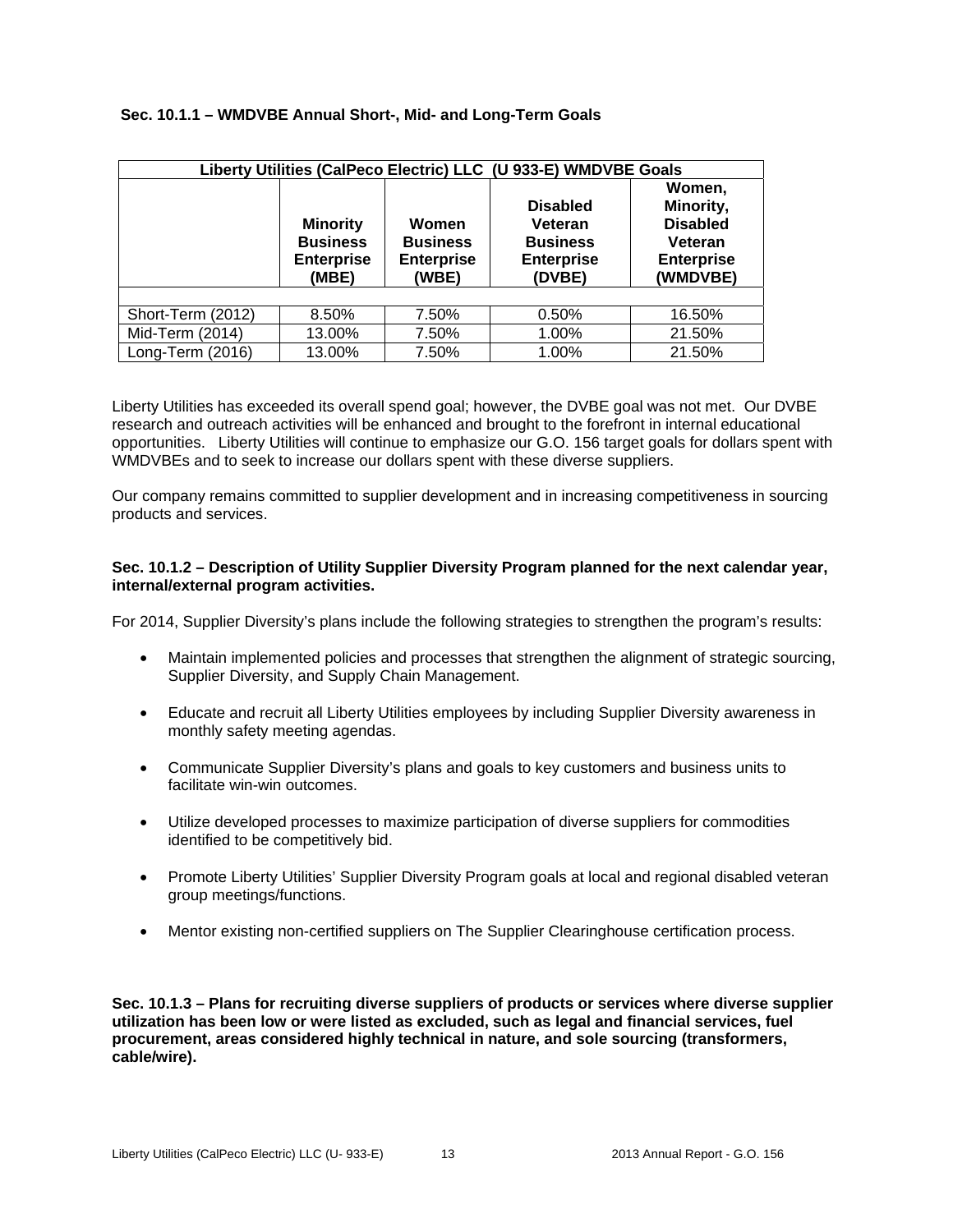# **Sec. 10.1.1 – WMDVBE Annual Short-, Mid- and Long-Term Goals**

|                   | Liberty Utilities (CalPeco Electric) LLC (U 933-E) WMDVBE Goals  |                                                        |                                                                              |                                                                                    |  |  |  |  |  |  |  |  |
|-------------------|------------------------------------------------------------------|--------------------------------------------------------|------------------------------------------------------------------------------|------------------------------------------------------------------------------------|--|--|--|--|--|--|--|--|
|                   | <b>Minority</b><br><b>Business</b><br><b>Enterprise</b><br>(MBE) | Women<br><b>Business</b><br><b>Enterprise</b><br>(WBE) | <b>Disabled</b><br>Veteran<br><b>Business</b><br><b>Enterprise</b><br>(DVBE) | Women,<br>Minority,<br><b>Disabled</b><br>Veteran<br><b>Enterprise</b><br>(WMDVBE) |  |  |  |  |  |  |  |  |
|                   |                                                                  |                                                        |                                                                              |                                                                                    |  |  |  |  |  |  |  |  |
| Short-Term (2012) | 8.50%                                                            | 7.50%                                                  | 0.50%                                                                        | 16.50%                                                                             |  |  |  |  |  |  |  |  |
| Mid-Term (2014)   | 13.00%                                                           | 7.50%                                                  | 1.00%                                                                        | 21.50%                                                                             |  |  |  |  |  |  |  |  |
| Long-Term (2016)  | 13.00%                                                           | 7.50%                                                  | 1.00%                                                                        | 21.50%                                                                             |  |  |  |  |  |  |  |  |

Liberty Utilities has exceeded its overall spend goal; however, the DVBE goal was not met. Our DVBE research and outreach activities will be enhanced and brought to the forefront in internal educational opportunities. Liberty Utilities will continue to emphasize our G.O. 156 target goals for dollars spent with WMDVBEs and to seek to increase our dollars spent with these diverse suppliers.

Our company remains committed to supplier development and in increasing competitiveness in sourcing products and services.

## **Sec. 10.1.2 – Description of Utility Supplier Diversity Program planned for the next calendar year, internal/external program activities.**

For 2014, Supplier Diversity's plans include the following strategies to strengthen the program's results:

- Maintain implemented policies and processes that strengthen the alignment of strategic sourcing, Supplier Diversity, and Supply Chain Management.
- Educate and recruit all Liberty Utilities employees by including Supplier Diversity awareness in monthly safety meeting agendas.
- Communicate Supplier Diversity's plans and goals to key customers and business units to facilitate win-win outcomes.
- Utilize developed processes to maximize participation of diverse suppliers for commodities identified to be competitively bid.
- Promote Liberty Utilities' Supplier Diversity Program goals at local and regional disabled veteran group meetings/functions.
- Mentor existing non-certified suppliers on The Supplier Clearinghouse certification process.

**Sec. 10.1.3 – Plans for recruiting diverse suppliers of products or services where diverse supplier utilization has been low or were listed as excluded, such as legal and financial services, fuel procurement, areas considered highly technical in nature, and sole sourcing (transformers, cable/wire).**